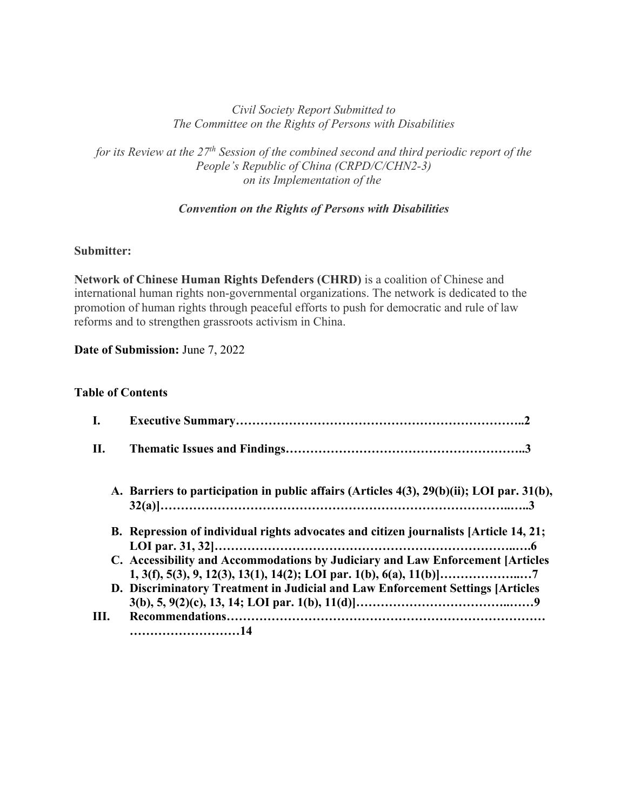### *Civil Society Report Submitted to The Committee on the Rights of Persons with Disabilities*

*for its Review at the 27th Session of the combined second and third periodic report of the People's Republic of China (CRPD/C/CHN2-3) on its Implementation of the*

### *Convention on the Rights of Persons with Disabilities*

### **Submitter:**

**Network of Chinese Human Rights Defenders (CHRD)** is a coalition of Chinese and international human rights non-governmental organizations. The network is dedicated to the promotion of human rights through peaceful efforts to push for democratic and rule of law reforms and to strengthen grassroots activism in China.

**Date of Submission:** June 7, 2022

### **Table of Contents**

| I.   |                                                                                           |
|------|-------------------------------------------------------------------------------------------|
| II.  |                                                                                           |
|      | A. Barriers to participation in public affairs (Articles 4(3), 29(b)(ii); LOI par. 31(b), |
|      | B. Repression of individual rights advocates and citizen journalists [Article 14, 21;     |
|      | C. Accessibility and Accommodations by Judiciary and Law Enforcement [Articles]           |
|      | D. Discriminatory Treatment in Judicial and Law Enforcement Settings [Articles]           |
| III. |                                                                                           |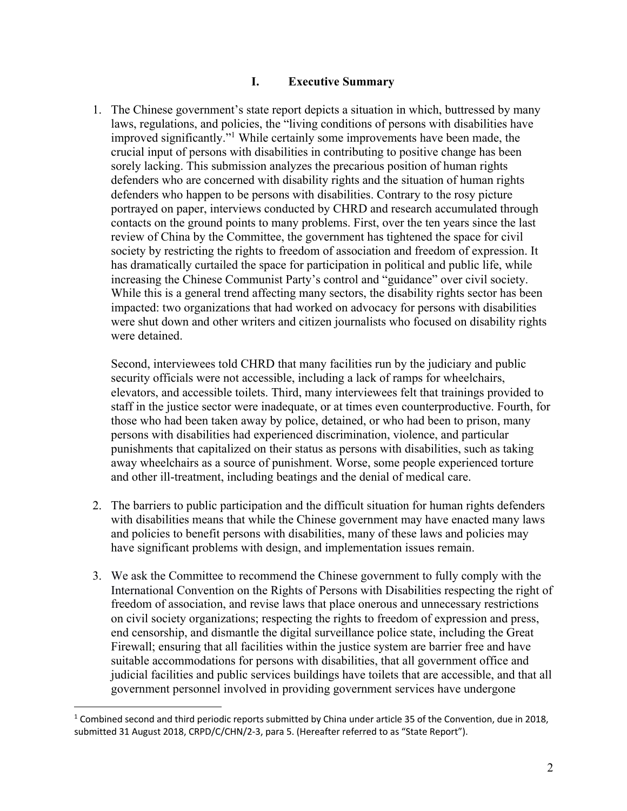### **I. Executive Summary**

1. The Chinese government's state report depicts a situation in which, buttressed by many laws, regulations, and policies, the "living conditions of persons with disabilities have improved significantly."1 While certainly some improvements have been made, the crucial input of persons with disabilities in contributing to positive change has been sorely lacking. This submission analyzes the precarious position of human rights defenders who are concerned with disability rights and the situation of human rights defenders who happen to be persons with disabilities. Contrary to the rosy picture portrayed on paper, interviews conducted by CHRD and research accumulated through contacts on the ground points to many problems. First, over the ten years since the last review of China by the Committee, the government has tightened the space for civil society by restricting the rights to freedom of association and freedom of expression. It has dramatically curtailed the space for participation in political and public life, while increasing the Chinese Communist Party's control and "guidance" over civil society. While this is a general trend affecting many sectors, the disability rights sector has been impacted: two organizations that had worked on advocacy for persons with disabilities were shut down and other writers and citizen journalists who focused on disability rights were detained.

Second, interviewees told CHRD that many facilities run by the judiciary and public security officials were not accessible, including a lack of ramps for wheelchairs, elevators, and accessible toilets. Third, many interviewees felt that trainings provided to staff in the justice sector were inadequate, or at times even counterproductive. Fourth, for those who had been taken away by police, detained, or who had been to prison, many persons with disabilities had experienced discrimination, violence, and particular punishments that capitalized on their status as persons with disabilities, such as taking away wheelchairs as a source of punishment. Worse, some people experienced torture and other ill-treatment, including beatings and the denial of medical care.

- 2. The barriers to public participation and the difficult situation for human rights defenders with disabilities means that while the Chinese government may have enacted many laws and policies to benefit persons with disabilities, many of these laws and policies may have significant problems with design, and implementation issues remain.
- 3. We ask the Committee to recommend the Chinese government to fully comply with the International Convention on the Rights of Persons with Disabilities respecting the right of freedom of association, and revise laws that place onerous and unnecessary restrictions on civil society organizations; respecting the rights to freedom of expression and press, end censorship, and dismantle the digital surveillance police state, including the Great Firewall; ensuring that all facilities within the justice system are barrier free and have suitable accommodations for persons with disabilities, that all government office and judicial facilities and public services buildings have toilets that are accessible, and that all government personnel involved in providing government services have undergone

 $1$  Combined second and third periodic reports submitted by China under article 35 of the Convention, due in 2018, submitted 31 August 2018, CRPD/C/CHN/2-3, para 5. (Hereafter referred to as "State Report").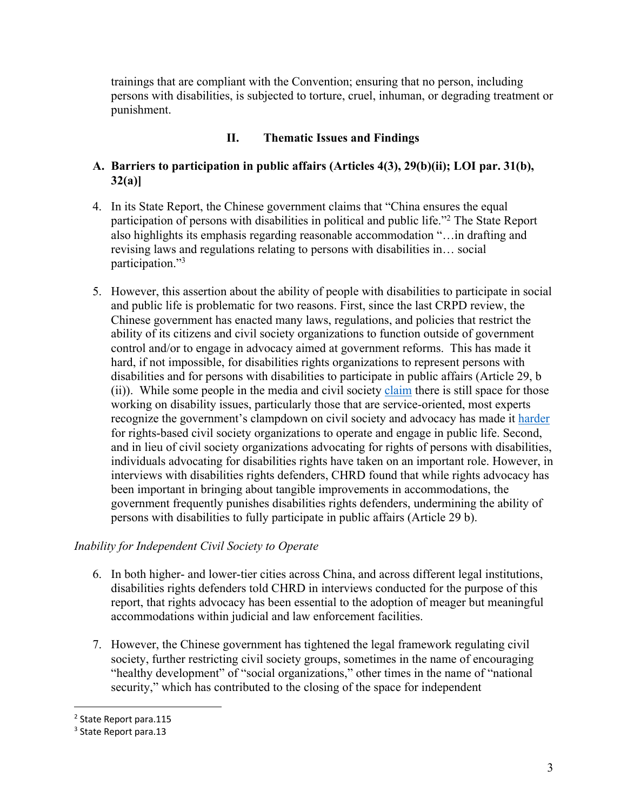trainings that are compliant with the Convention; ensuring that no person, including persons with disabilities, is subjected to torture, cruel, inhuman, or degrading treatment or punishment.

## **II. Thematic Issues and Findings**

## **A. Barriers to participation in public affairs (Articles 4(3), 29(b)(ii); LOI par. 31(b), 32(a)]**

- 4. In its State Report, the Chinese government claims that "China ensures the equal participation of persons with disabilities in political and public life."2 The State Report also highlights its emphasis regarding reasonable accommodation "…in drafting and revising laws and regulations relating to persons with disabilities in… social participation."3
- 5. However, this assertion about the ability of people with disabilities to participate in social and public life is problematic for two reasons. First, since the last CRPD review, the Chinese government has enacted many laws, regulations, and policies that restrict the ability of its citizens and civil society organizations to function outside of government control and/or to engage in advocacy aimed at government reforms. This has made it hard, if not impossible, for disabilities rights organizations to represent persons with disabilities and for persons with disabilities to participate in public affairs (Article 29, b (ii)). While some people in the media and civil society claim there is still space for those working on disability issues, particularly those that are service-oriented, most experts recognize the government's clampdown on civil society and advocacy has made it harder for rights-based civil society organizations to operate and engage in public life. Second, and in lieu of civil society organizations advocating for rights of persons with disabilities, individuals advocating for disabilities rights have taken on an important role. However, in interviews with disabilities rights defenders, CHRD found that while rights advocacy has been important in bringing about tangible improvements in accommodations, the government frequently punishes disabilities rights defenders, undermining the ability of persons with disabilities to fully participate in public affairs (Article 29 b).

## *Inability for Independent Civil Society to Operate*

- 6. In both higher- and lower-tier cities across China, and across different legal institutions, disabilities rights defenders told CHRD in interviews conducted for the purpose of this report, that rights advocacy has been essential to the adoption of meager but meaningful accommodations within judicial and law enforcement facilities.
- 7. However, the Chinese government has tightened the legal framework regulating civil society, further restricting civil society groups, sometimes in the name of encouraging "healthy development" of "social organizations," other times in the name of "national security," which has contributed to the closing of the space for independent

<sup>2</sup> State Report para.115

<sup>3</sup> State Report para.13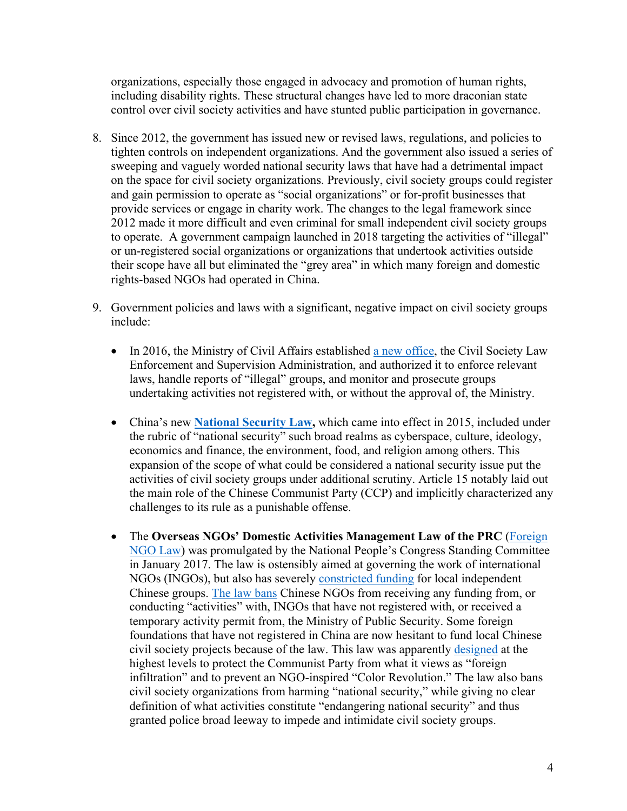organizations, especially those engaged in advocacy and promotion of human rights, including disability rights. These structural changes have led to more draconian state control over civil society activities and have stunted public participation in governance.

- 8. Since 2012, the government has issued new or revised laws, regulations, and policies to tighten controls on independent organizations. And the government also issued a series of sweeping and vaguely worded national security laws that have had a detrimental impact on the space for civil society organizations. Previously, civil society groups could register and gain permission to operate as "social organizations" or for-profit businesses that provide services or engage in charity work. The changes to the legal framework since 2012 made it more difficult and even criminal for small independent civil society groups to operate. A government campaign launched in 2018 targeting the activities of "illegal" or un-registered social organizations or organizations that undertook activities outside their scope have all but eliminated the "grey area" in which many foreign and domestic rights-based NGOs had operated in China.
- 9. Government policies and laws with a significant, negative impact on civil society groups include:
	- In 2016, the Ministry of Civil Affairs established a new office, the Civil Society Law Enforcement and Supervision Administration, and authorized it to enforce relevant laws, handle reports of "illegal" groups, and monitor and prosecute groups undertaking activities not registered with, or without the approval of, the Ministry.
	- China's new **National Security Law,** which came into effect in 2015, included under the rubric of "national security" such broad realms as cyberspace, culture, ideology, economics and finance, the environment, food, and religion among others. This expansion of the scope of what could be considered a national security issue put the activities of civil society groups under additional scrutiny. Article 15 notably laid out the main role of the Chinese Communist Party (CCP) and implicitly characterized any challenges to its rule as a punishable offense.
	- The **Overseas NGOs' Domestic Activities Management Law of the PRC** (Foreign NGO Law) was promulgated by the National People's Congress Standing Committee in January 2017. The law is ostensibly aimed at governing the work of international NGOs (INGOs), but also has severely constricted funding for local independent Chinese groups. The law bans Chinese NGOs from receiving any funding from, or conducting "activities" with, INGOs that have not registered with, or received a temporary activity permit from, the Ministry of Public Security. Some foreign foundations that have not registered in China are now hesitant to fund local Chinese civil society projects because of the law. This law was apparently designed at the highest levels to protect the Communist Party from what it views as "foreign infiltration" and to prevent an NGO-inspired "Color Revolution." The law also bans civil society organizations from harming "national security," while giving no clear definition of what activities constitute "endangering national security" and thus granted police broad leeway to impede and intimidate civil society groups.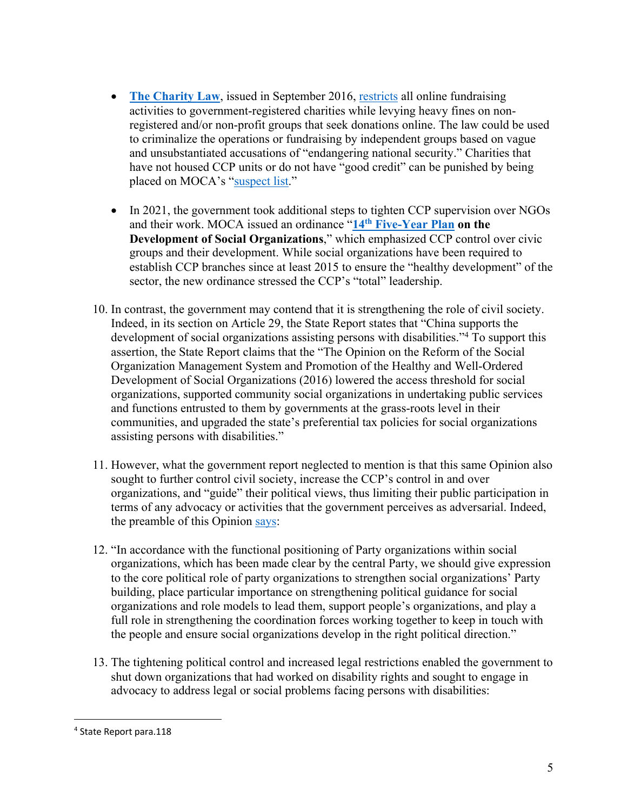- **The Charity Law**, issued in September 2016, restricts all online fundraising activities to government-registered charities while levying heavy fines on nonregistered and/or non-profit groups that seek donations online. The law could be used to criminalize the operations or fundraising by independent groups based on vague and unsubstantiated accusations of "endangering national security." Charities that have not housed CCP units or do not have "good credit" can be punished by being placed on MOCA's "suspect list."
- In 2021, the government took additional steps to tighten CCP supervision over NGOs and their work. MOCA issued an ordinance "**14th Five-Year Plan on the Development of Social Organizations**," which emphasized CCP control over civic groups and their development. While social organizations have been required to establish CCP branches since at least 2015 to ensure the "healthy development" of the sector, the new ordinance stressed the CCP's "total" leadership.
- 10. In contrast, the government may contend that it is strengthening the role of civil society. Indeed, in its section on Article 29, the State Report states that "China supports the development of social organizations assisting persons with disabilities."4 To support this assertion, the State Report claims that the "The Opinion on the Reform of the Social Organization Management System and Promotion of the Healthy and Well-Ordered Development of Social Organizations (2016) lowered the access threshold for social organizations, supported community social organizations in undertaking public services and functions entrusted to them by governments at the grass-roots level in their communities, and upgraded the state's preferential tax policies for social organizations assisting persons with disabilities."
- 11. However, what the government report neglected to mention is that this same Opinion also sought to further control civil society, increase the CCP's control in and over organizations, and "guide" their political views, thus limiting their public participation in terms of any advocacy or activities that the government perceives as adversarial. Indeed, the preamble of this Opinion says:
- 12. "In accordance with the functional positioning of Party organizations within social organizations, which has been made clear by the central Party, we should give expression to the core political role of party organizations to strengthen social organizations' Party building, place particular importance on strengthening political guidance for social organizations and role models to lead them, support people's organizations, and play a full role in strengthening the coordination forces working together to keep in touch with the people and ensure social organizations develop in the right political direction."
- 13. The tightening political control and increased legal restrictions enabled the government to shut down organizations that had worked on disability rights and sought to engage in advocacy to address legal or social problems facing persons with disabilities:

<sup>4</sup> State Report para.118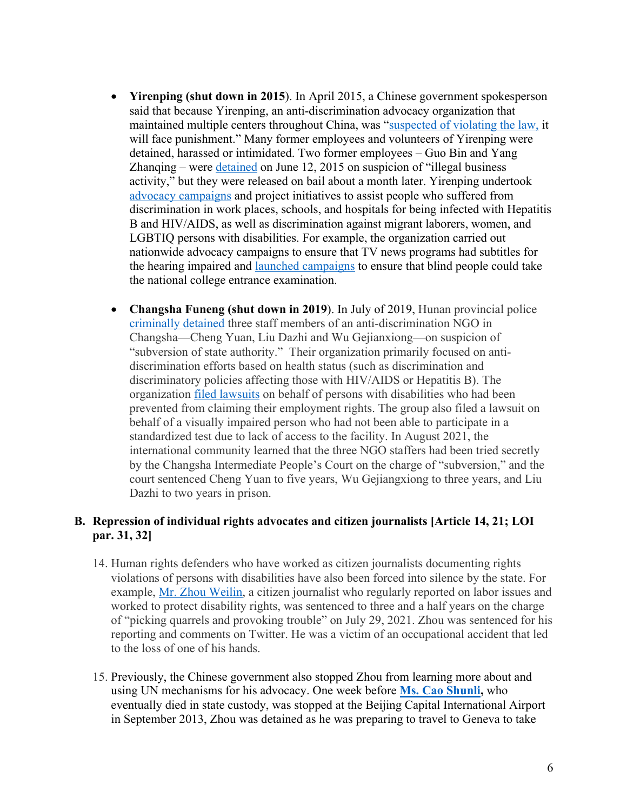- **Yirenping (shut down in 2015**). In April 2015, a Chinese government spokesperson said that because Yirenping, an anti-discrimination advocacy organization that maintained multiple centers throughout China, was "suspected of violating the law, it will face punishment." Many former employees and volunteers of Yirenping were detained, harassed or intimidated. Two former employees – Guo Bin and Yang Zhanqing – were detained on June 12, 2015 on suspicion of "illegal business activity," but they were released on bail about a month later. Yirenping undertook advocacy campaigns and project initiatives to assist people who suffered from discrimination in work places, schools, and hospitals for being infected with Hepatitis B and HIV/AIDS, as well as discrimination against migrant laborers, women, and LGBTIQ persons with disabilities. For example, the organization carried out nationwide advocacy campaigns to ensure that TV news programs had subtitles for the hearing impaired and launched campaigns to ensure that blind people could take the national college entrance examination.
- **Changsha Funeng (shut down in 2019**). In July of 2019, Hunan provincial police criminally detained three staff members of an anti-discrimination NGO in Changsha—Cheng Yuan, Liu Dazhi and Wu Gejianxiong—on suspicion of "subversion of state authority." Their organization primarily focused on antidiscrimination efforts based on health status (such as discrimination and discriminatory policies affecting those with HIV/AIDS or Hepatitis B). The organization filed lawsuits on behalf of persons with disabilities who had been prevented from claiming their employment rights. The group also filed a lawsuit on behalf of a visually impaired person who had not been able to participate in a standardized test due to lack of access to the facility. In August 2021, the international community learned that the three NGO staffers had been tried secretly by the Changsha Intermediate People's Court on the charge of "subversion," and the court sentenced Cheng Yuan to five years, Wu Gejiangxiong to three years, and Liu Dazhi to two years in prison.

## **B. Repression of individual rights advocates and citizen journalists [Article 14, 21; LOI par. 31, 32]**

- 14. Human rights defenders who have worked as citizen journalists documenting rights violations of persons with disabilities have also been forced into silence by the state. For example, Mr. Zhou Weilin, a citizen journalist who regularly reported on labor issues and worked to protect disability rights, was sentenced to three and a half years on the charge of "picking quarrels and provoking trouble" on July 29, 2021. Zhou was sentenced for his reporting and comments on Twitter. He was a victim of an occupational accident that led to the loss of one of his hands.
- 15. Previously, the Chinese government also stopped Zhou from learning more about and using UN mechanisms for his advocacy. One week before **Ms. Cao Shunli,** who eventually died in state custody, was stopped at the Beijing Capital International Airport in September 2013, Zhou was detained as he was preparing to travel to Geneva to take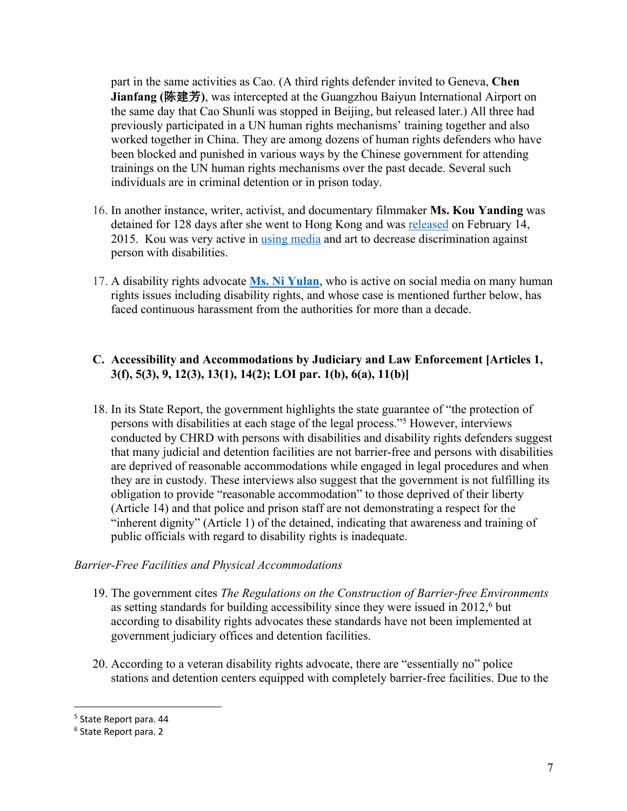part in the same activities as Cao. (A third rights defender invited to Geneva, **Chen Jianfang (**陈建芳**)**, was intercepted at the Guangzhou Baiyun International Airport on the same day that Cao Shunli was stopped in Beijing, but released later.) All three had previously participated in a UN human rights mechanisms' training together and also worked together in China. They are among dozens of human rights defenders who have been blocked and punished in various ways by the Chinese government for attending trainings on the UN human rights mechanisms over the past decade. Several such individuals are in criminal detention or in prison today.

- 16. In another instance, writer, activist, and documentary filmmaker **Ms. Kou Yanding** was detained for 128 days after she went to Hong Kong and was released on February 14, 2015. Kou was very active in using media and art to decrease discrimination against person with disabilities.
- 17. A disability rights advocate **Ms. Ni Yulan**, who is active on social media on many human rights issues including disability rights, and whose case is mentioned further below, has faced continuous harassment from the authorities for more than a decade.

# **C. Accessibility and Accommodations by Judiciary and Law Enforcement [Articles 1, 3(f), 5(3), 9, 12(3), 13(1), 14(2); LOI par. 1(b), 6(a), 11(b)]**

18. In its State Report, the government highlights the state guarantee of "the protection of persons with disabilities at each stage of the legal process."5 However, interviews conducted by CHRD with persons with disabilities and disability rights defenders suggest that many judicial and detention facilities are not barrier-free and persons with disabilities are deprived of reasonable accommodations while engaged in legal procedures and when they are in custody. These interviews also suggest that the government is not fulfilling its obligation to provide "reasonable accommodation" to those deprived of their liberty (Article 14) and that police and prison staff are not demonstrating a respect for the "inherent dignity" (Article 1) of the detained, indicating that awareness and training of public officials with regard to disability rights is inadequate.

### *Barrier-Free Facilities and Physical Accommodations*

- 19. The government cites *The Regulations on the Construction of Barrier-free Environments* as setting standards for building accessibility since they were issued in  $2012<sup>6</sup>$  but according to disability rights advocates these standards have not been implemented at government judiciary offices and detention facilities.
- 20. According to a veteran disability rights advocate, there are "essentially no" police stations and detention centers equipped with completely barrier-free facilities. Due to the

<sup>5</sup> State Report para. 44

<sup>6</sup> State Report para. 2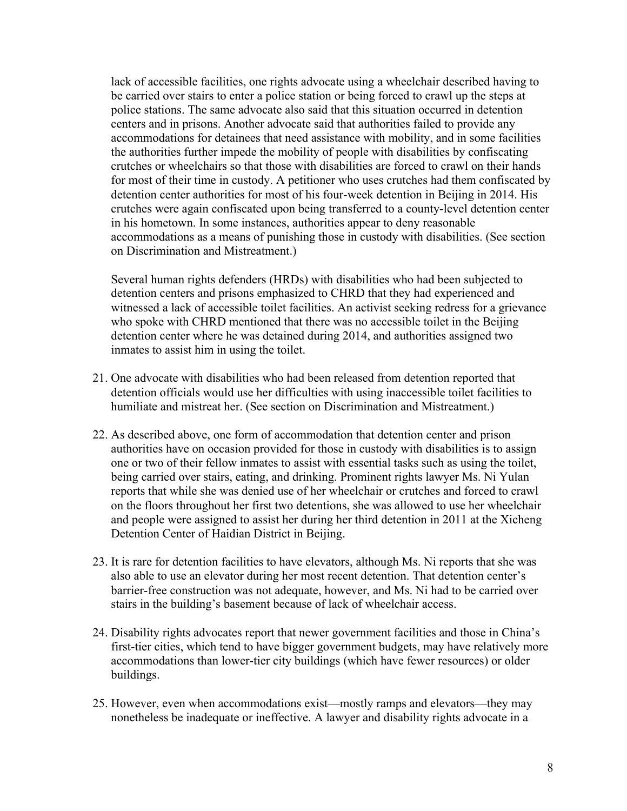lack of accessible facilities, one rights advocate using a wheelchair described having to be carried over stairs to enter a police station or being forced to crawl up the steps at police stations. The same advocate also said that this situation occurred in detention centers and in prisons. Another advocate said that authorities failed to provide any accommodations for detainees that need assistance with mobility, and in some facilities the authorities further impede the mobility of people with disabilities by confiscating crutches or wheelchairs so that those with disabilities are forced to crawl on their hands for most of their time in custody. A petitioner who uses crutches had them confiscated by detention center authorities for most of his four-week detention in Beijing in 2014. His crutches were again confiscated upon being transferred to a county-level detention center in his hometown. In some instances, authorities appear to deny reasonable accommodations as a means of punishing those in custody with disabilities. (See section on Discrimination and Mistreatment.)

Several human rights defenders (HRDs) with disabilities who had been subjected to detention centers and prisons emphasized to CHRD that they had experienced and witnessed a lack of accessible toilet facilities. An activist seeking redress for a grievance who spoke with CHRD mentioned that there was no accessible toilet in the Beijing detention center where he was detained during 2014, and authorities assigned two inmates to assist him in using the toilet.

- 21. One advocate with disabilities who had been released from detention reported that detention officials would use her difficulties with using inaccessible toilet facilities to humiliate and mistreat her. (See section on Discrimination and Mistreatment.)
- 22. As described above, one form of accommodation that detention center and prison authorities have on occasion provided for those in custody with disabilities is to assign one or two of their fellow inmates to assist with essential tasks such as using the toilet, being carried over stairs, eating, and drinking. Prominent rights lawyer Ms. Ni Yulan reports that while she was denied use of her wheelchair or crutches and forced to crawl on the floors throughout her first two detentions, she was allowed to use her wheelchair and people were assigned to assist her during her third detention in 2011 at the Xicheng Detention Center of Haidian District in Beijing.
- 23. It is rare for detention facilities to have elevators, although Ms. Ni reports that she was also able to use an elevator during her most recent detention. That detention center's barrier-free construction was not adequate, however, and Ms. Ni had to be carried over stairs in the building's basement because of lack of wheelchair access.
- 24. Disability rights advocates report that newer government facilities and those in China's first-tier cities, which tend to have bigger government budgets, may have relatively more accommodations than lower-tier city buildings (which have fewer resources) or older buildings.
- 25. However, even when accommodations exist—mostly ramps and elevators—they may nonetheless be inadequate or ineffective. A lawyer and disability rights advocate in a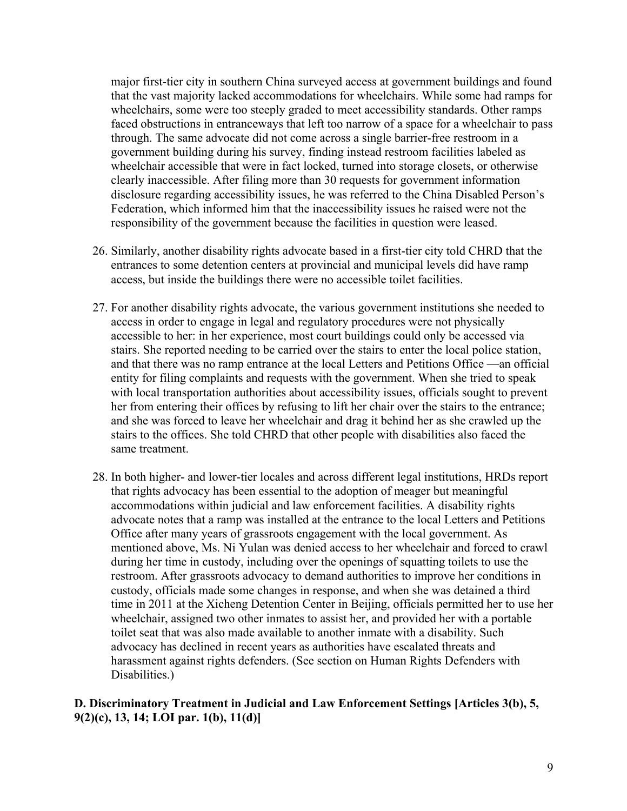major first-tier city in southern China surveyed access at government buildings and found that the vast majority lacked accommodations for wheelchairs. While some had ramps for wheelchairs, some were too steeply graded to meet accessibility standards. Other ramps faced obstructions in entranceways that left too narrow of a space for a wheelchair to pass through. The same advocate did not come across a single barrier-free restroom in a government building during his survey, finding instead restroom facilities labeled as wheelchair accessible that were in fact locked, turned into storage closets, or otherwise clearly inaccessible. After filing more than 30 requests for government information disclosure regarding accessibility issues, he was referred to the China Disabled Person's Federation, which informed him that the inaccessibility issues he raised were not the responsibility of the government because the facilities in question were leased.

- 26. Similarly, another disability rights advocate based in a first-tier city told CHRD that the entrances to some detention centers at provincial and municipal levels did have ramp access, but inside the buildings there were no accessible toilet facilities.
- 27. For another disability rights advocate, the various government institutions she needed to access in order to engage in legal and regulatory procedures were not physically accessible to her: in her experience, most court buildings could only be accessed via stairs. She reported needing to be carried over the stairs to enter the local police station, and that there was no ramp entrance at the local Letters and Petitions Office —an official entity for filing complaints and requests with the government. When she tried to speak with local transportation authorities about accessibility issues, officials sought to prevent her from entering their offices by refusing to lift her chair over the stairs to the entrance; and she was forced to leave her wheelchair and drag it behind her as she crawled up the stairs to the offices. She told CHRD that other people with disabilities also faced the same treatment.
- 28. In both higher- and lower-tier locales and across different legal institutions, HRDs report that rights advocacy has been essential to the adoption of meager but meaningful accommodations within judicial and law enforcement facilities. A disability rights advocate notes that a ramp was installed at the entrance to the local Letters and Petitions Office after many years of grassroots engagement with the local government. As mentioned above, Ms. Ni Yulan was denied access to her wheelchair and forced to crawl during her time in custody, including over the openings of squatting toilets to use the restroom. After grassroots advocacy to demand authorities to improve her conditions in custody, officials made some changes in response, and when she was detained a third time in 2011 at the Xicheng Detention Center in Beijing, officials permitted her to use her wheelchair, assigned two other inmates to assist her, and provided her with a portable toilet seat that was also made available to another inmate with a disability. Such advocacy has declined in recent years as authorities have escalated threats and harassment against rights defenders. (See section on Human Rights Defenders with Disabilities.)

### **D. Discriminatory Treatment in Judicial and Law Enforcement Settings [Articles 3(b), 5, 9(2)(c), 13, 14; LOI par. 1(b), 11(d)]**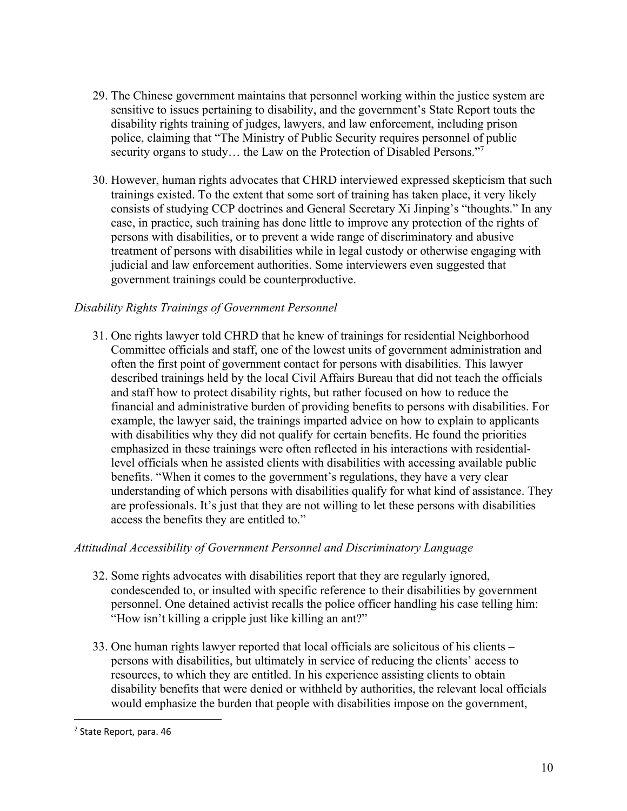- 29. The Chinese government maintains that personnel working within the justice system are sensitive to issues pertaining to disability, and the government's State Report touts the disability rights training of judges, lawyers, and law enforcement, including prison police, claiming that "The Ministry of Public Security requires personnel of public security organs to study... the Law on the Protection of Disabled Persons."<sup>7</sup>
- 30. However, human rights advocates that CHRD interviewed expressed skepticism that such trainings existed. To the extent that some sort of training has taken place, it very likely consists of studying CCP doctrines and General Secretary Xi Jinping's "thoughts." In any case, in practice, such training has done little to improve any protection of the rights of persons with disabilities, or to prevent a wide range of discriminatory and abusive treatment of persons with disabilities while in legal custody or otherwise engaging with judicial and law enforcement authorities. Some interviewers even suggested that government trainings could be counterproductive.

## *Disability Rights Trainings of Government Personnel*

31. One rights lawyer told CHRD that he knew of trainings for residential Neighborhood Committee officials and staff, one of the lowest units of government administration and often the first point of government contact for persons with disabilities. This lawyer described trainings held by the local Civil Affairs Bureau that did not teach the officials and staff how to protect disability rights, but rather focused on how to reduce the financial and administrative burden of providing benefits to persons with disabilities. For example, the lawyer said, the trainings imparted advice on how to explain to applicants with disabilities why they did not qualify for certain benefits. He found the priorities emphasized in these trainings were often reflected in his interactions with residentiallevel officials when he assisted clients with disabilities with accessing available public benefits. "When it comes to the government's regulations, they have a very clear understanding of which persons with disabilities qualify for what kind of assistance. They are professionals. It's just that they are not willing to let these persons with disabilities access the benefits they are entitled to."

### *Attitudinal Accessibility of Government Personnel and Discriminatory Language*

- 32. Some rights advocates with disabilities report that they are regularly ignored, condescended to, or insulted with specific reference to their disabilities by government personnel. One detained activist recalls the police officer handling his case telling him: "How isn't killing a cripple just like killing an ant?"
- 33. One human rights lawyer reported that local officials are solicitous of his clients persons with disabilities, but ultimately in service of reducing the clients' access to resources, to which they are entitled. In his experience assisting clients to obtain disability benefits that were denied or withheld by authorities, the relevant local officials would emphasize the burden that people with disabilities impose on the government,

<sup>7</sup> State Report, para. 46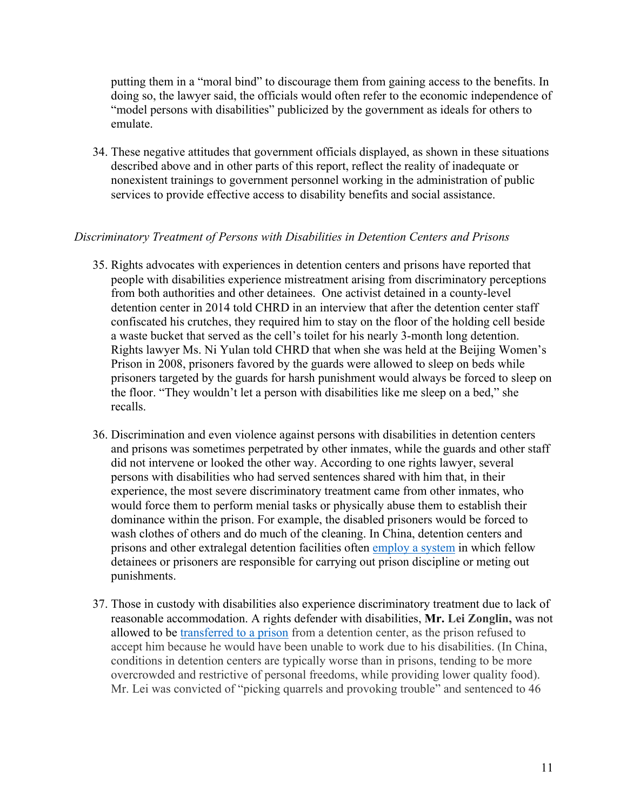putting them in a "moral bind" to discourage them from gaining access to the benefits. In doing so, the lawyer said, the officials would often refer to the economic independence of "model persons with disabilities" publicized by the government as ideals for others to emulate.

34. These negative attitudes that government officials displayed, as shown in these situations described above and in other parts of this report, reflect the reality of inadequate or nonexistent trainings to government personnel working in the administration of public services to provide effective access to disability benefits and social assistance.

#### *Discriminatory Treatment of Persons with Disabilities in Detention Centers and Prisons*

- 35. Rights advocates with experiences in detention centers and prisons have reported that people with disabilities experience mistreatment arising from discriminatory perceptions from both authorities and other detainees. One activist detained in a county-level detention center in 2014 told CHRD in an interview that after the detention center staff confiscated his crutches, they required him to stay on the floor of the holding cell beside a waste bucket that served as the cell's toilet for his nearly 3-month long detention. Rights lawyer Ms. Ni Yulan told CHRD that when she was held at the Beijing Women's Prison in 2008, prisoners favored by the guards were allowed to sleep on beds while prisoners targeted by the guards for harsh punishment would always be forced to sleep on the floor. "They wouldn't let a person with disabilities like me sleep on a bed," she recalls.
- 36. Discrimination and even violence against persons with disabilities in detention centers and prisons was sometimes perpetrated by other inmates, while the guards and other staff did not intervene or looked the other way. According to one rights lawyer, several persons with disabilities who had served sentences shared with him that, in their experience, the most severe discriminatory treatment came from other inmates, who would force them to perform menial tasks or physically abuse them to establish their dominance within the prison. For example, the disabled prisoners would be forced to wash clothes of others and do much of the cleaning. In China, detention centers and prisons and other extralegal detention facilities often employ a system in which fellow detainees or prisoners are responsible for carrying out prison discipline or meting out punishments.
- 37. Those in custody with disabilities also experience discriminatory treatment due to lack of reasonable accommodation. A rights defender with disabilities, **Mr. Lei Zonglin,** was not allowed to be transferred to a prison from a detention center, as the prison refused to accept him because he would have been unable to work due to his disabilities. (In China, conditions in detention centers are typically worse than in prisons, tending to be more overcrowded and restrictive of personal freedoms, while providing lower quality food). Mr. Lei was convicted of "picking quarrels and provoking trouble" and sentenced to 46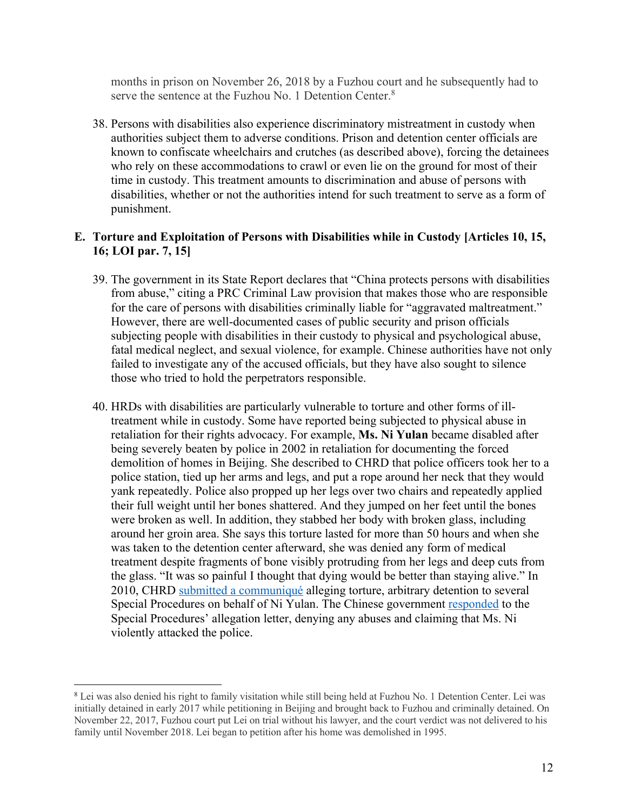months in prison on November 26, 2018 by a Fuzhou court and he subsequently had to serve the sentence at the Fuzhou No. 1 Detention Center.<sup>8</sup>

38. Persons with disabilities also experience discriminatory mistreatment in custody when authorities subject them to adverse conditions. Prison and detention center officials are known to confiscate wheelchairs and crutches (as described above), forcing the detainees who rely on these accommodations to crawl or even lie on the ground for most of their time in custody. This treatment amounts to discrimination and abuse of persons with disabilities, whether or not the authorities intend for such treatment to serve as a form of punishment.

## **E. Torture and Exploitation of Persons with Disabilities while in Custody [Articles 10, 15, 16; LOI par. 7, 15]**

- 39. The government in its State Report declares that "China protects persons with disabilities from abuse," citing a PRC Criminal Law provision that makes those who are responsible for the care of persons with disabilities criminally liable for "aggravated maltreatment." However, there are well-documented cases of public security and prison officials subjecting people with disabilities in their custody to physical and psychological abuse, fatal medical neglect, and sexual violence, for example. Chinese authorities have not only failed to investigate any of the accused officials, but they have also sought to silence those who tried to hold the perpetrators responsible.
- 40. HRDs with disabilities are particularly vulnerable to torture and other forms of illtreatment while in custody. Some have reported being subjected to physical abuse in retaliation for their rights advocacy. For example, **Ms. Ni Yulan** became disabled after being severely beaten by police in 2002 in retaliation for documenting the forced demolition of homes in Beijing. She described to CHRD that police officers took her to a police station, tied up her arms and legs, and put a rope around her neck that they would yank repeatedly. Police also propped up her legs over two chairs and repeatedly applied their full weight until her bones shattered. And they jumped on her feet until the bones were broken as well. In addition, they stabbed her body with broken glass, including around her groin area. She says this torture lasted for more than 50 hours and when she was taken to the detention center afterward, she was denied any form of medical treatment despite fragments of bone visibly protruding from her legs and deep cuts from the glass. "It was so painful I thought that dying would be better than staying alive." In 2010, CHRD submitted a communiqué alleging torture, arbitrary detention to several Special Procedures on behalf of Ni Yulan. The Chinese government responded to the Special Procedures' allegation letter, denying any abuses and claiming that Ms. Ni violently attacked the police.

<sup>8</sup> Lei was also denied his right to family visitation while still being held at Fuzhou No. 1 Detention Center. Lei was initially detained in early 2017 while petitioning in Beijing and brought back to Fuzhou and criminally detained. On November 22, 2017, Fuzhou court put Lei on trial without his lawyer, and the court verdict was not delivered to his family until November 2018. Lei began to petition after his home was demolished in 1995.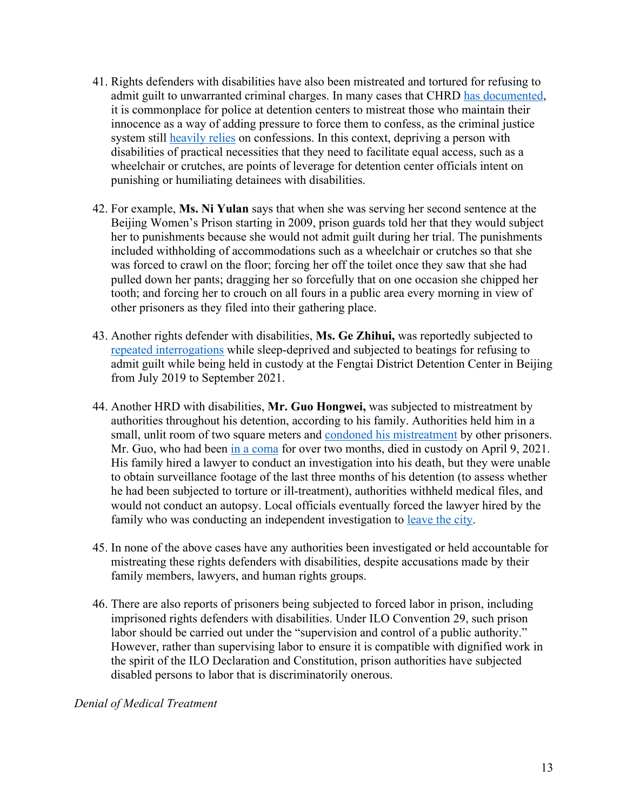- 41. Rights defenders with disabilities have also been mistreated and tortured for refusing to admit guilt to unwarranted criminal charges. In many cases that CHRD has documented, it is commonplace for police at detention centers to mistreat those who maintain their innocence as a way of adding pressure to force them to confess, as the criminal justice system still heavily relies on confessions. In this context, depriving a person with disabilities of practical necessities that they need to facilitate equal access, such as a wheelchair or crutches, are points of leverage for detention center officials intent on punishing or humiliating detainees with disabilities.
- 42. For example, **Ms. Ni Yulan** says that when she was serving her second sentence at the Beijing Women's Prison starting in 2009, prison guards told her that they would subject her to punishments because she would not admit guilt during her trial. The punishments included withholding of accommodations such as a wheelchair or crutches so that she was forced to crawl on the floor; forcing her off the toilet once they saw that she had pulled down her pants; dragging her so forcefully that on one occasion she chipped her tooth; and forcing her to crouch on all fours in a public area every morning in view of other prisoners as they filed into their gathering place.
- 43. Another rights defender with disabilities, **Ms. Ge Zhihui,** was reportedly subjected to repeated interrogations while sleep-deprived and subjected to beatings for refusing to admit guilt while being held in custody at the Fengtai District Detention Center in Beijing from July 2019 to September 2021.
- 44. Another HRD with disabilities, **Mr. Guo Hongwei,** was subjected to mistreatment by authorities throughout his detention, according to his family. Authorities held him in a small, unlit room of two square meters and condoned his mistreatment by other prisoners. Mr. Guo, who had been in a coma for over two months, died in custody on April 9, 2021. His family hired a lawyer to conduct an investigation into his death, but they were unable to obtain surveillance footage of the last three months of his detention (to assess whether he had been subjected to torture or ill-treatment), authorities withheld medical files, and would not conduct an autopsy. Local officials eventually forced the lawyer hired by the family who was conducting an independent investigation to leave the city.
- 45. In none of the above cases have any authorities been investigated or held accountable for mistreating these rights defenders with disabilities, despite accusations made by their family members, lawyers, and human rights groups.
- 46. There are also reports of prisoners being subjected to forced labor in prison, including imprisoned rights defenders with disabilities. Under ILO Convention 29, such prison labor should be carried out under the "supervision and control of a public authority." However, rather than supervising labor to ensure it is compatible with dignified work in the spirit of the ILO Declaration and Constitution, prison authorities have subjected disabled persons to labor that is discriminatorily onerous.

*Denial of Medical Treatment*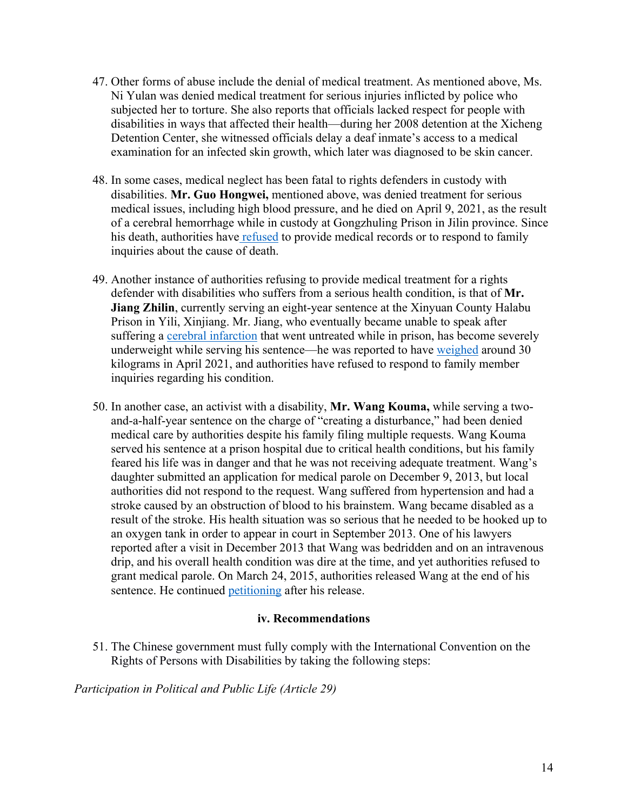- 47. Other forms of abuse include the denial of medical treatment. As mentioned above, Ms. Ni Yulan was denied medical treatment for serious injuries inflicted by police who subjected her to torture. She also reports that officials lacked respect for people with disabilities in ways that affected their health—during her 2008 detention at the Xicheng Detention Center, she witnessed officials delay a deaf inmate's access to a medical examination for an infected skin growth, which later was diagnosed to be skin cancer.
- 48. In some cases, medical neglect has been fatal to rights defenders in custody with disabilities. **Mr. Guo Hongwei,** mentioned above, was denied treatment for serious medical issues, including high blood pressure, and he died on April 9, 2021, as the result of a cerebral hemorrhage while in custody at Gongzhuling Prison in Jilin province. Since his death, authorities have refused to provide medical records or to respond to family inquiries about the cause of death.
- 49. Another instance of authorities refusing to provide medical treatment for a rights defender with disabilities who suffers from a serious health condition, is that of **Mr. Jiang Zhilin**, currently serving an eight-year sentence at the Xinyuan County Halabu Prison in Yili, Xinjiang. Mr. Jiang, who eventually became unable to speak after suffering a cerebral infarction that went untreated while in prison, has become severely underweight while serving his sentence—he was reported to have weighed around 30 kilograms in April 2021, and authorities have refused to respond to family member inquiries regarding his condition.
- 50. In another case, an activist with a disability, **Mr. Wang Kouma,** while serving a twoand-a-half-year sentence on the charge of "creating a disturbance," had been denied medical care by authorities despite his family filing multiple requests. Wang Kouma served his sentence at a prison hospital due to critical health conditions, but his family feared his life was in danger and that he was not receiving adequate treatment. Wang's daughter submitted an application for medical parole on December 9, 2013, but local authorities did not respond to the request. Wang suffered from hypertension and had a stroke caused by an obstruction of blood to his brainstem. Wang became disabled as a result of the stroke. His health situation was so serious that he needed to be hooked up to an oxygen tank in order to appear in court in September 2013. One of his lawyers reported after a visit in December 2013 that Wang was bedridden and on an intravenous drip, and his overall health condition was dire at the time, and yet authorities refused to grant medical parole. On March 24, 2015, authorities released Wang at the end of his sentence. He continued petitioning after his release.

#### **iv. Recommendations**

51. The Chinese government must fully comply with the International Convention on the Rights of Persons with Disabilities by taking the following steps:

*Participation in Political and Public Life (Article 29)*